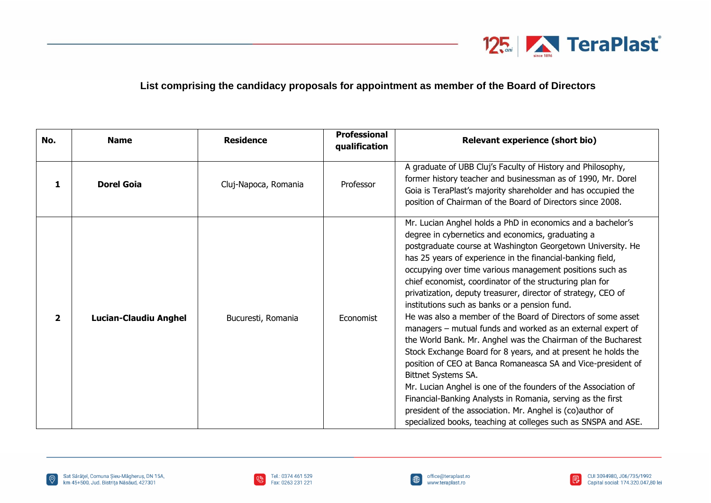

## **List comprising the candidacy proposals for appointment as member of the Board of Directors**

| No.            | <b>Name</b>                  | <b>Residence</b>     | <b>Professional</b><br>qualification | <b>Relevant experience (short bio)</b>                                                                                                                                                                                                                                                                                                                                                                                                                                                                                                                                                                                                                                                                                                                                                                                                                                                                                                                                                                                                                                                                         |
|----------------|------------------------------|----------------------|--------------------------------------|----------------------------------------------------------------------------------------------------------------------------------------------------------------------------------------------------------------------------------------------------------------------------------------------------------------------------------------------------------------------------------------------------------------------------------------------------------------------------------------------------------------------------------------------------------------------------------------------------------------------------------------------------------------------------------------------------------------------------------------------------------------------------------------------------------------------------------------------------------------------------------------------------------------------------------------------------------------------------------------------------------------------------------------------------------------------------------------------------------------|
| 1              | <b>Dorel Goia</b>            | Cluj-Napoca, Romania | Professor                            | A graduate of UBB Cluj's Faculty of History and Philosophy,<br>former history teacher and businessman as of 1990, Mr. Dorel<br>Goia is TeraPlast's majority shareholder and has occupied the<br>position of Chairman of the Board of Directors since 2008.                                                                                                                                                                                                                                                                                                                                                                                                                                                                                                                                                                                                                                                                                                                                                                                                                                                     |
| $\overline{2}$ | <b>Lucian-Claudiu Anghel</b> | Bucuresti, Romania   | Economist                            | Mr. Lucian Anghel holds a PhD in economics and a bachelor's<br>degree in cybernetics and economics, graduating a<br>postgraduate course at Washington Georgetown University. He<br>has 25 years of experience in the financial-banking field,<br>occupying over time various management positions such as<br>chief economist, coordinator of the structuring plan for<br>privatization, deputy treasurer, director of strategy, CEO of<br>institutions such as banks or a pension fund.<br>He was also a member of the Board of Directors of some asset<br>managers - mutual funds and worked as an external expert of<br>the World Bank. Mr. Anghel was the Chairman of the Bucharest<br>Stock Exchange Board for 8 years, and at present he holds the<br>position of CEO at Banca Romaneasca SA and Vice-president of<br>Bittnet Systems SA.<br>Mr. Lucian Anghel is one of the founders of the Association of<br>Financial-Banking Analysts in Romania, serving as the first<br>president of the association. Mr. Anghel is (co)author of<br>specialized books, teaching at colleges such as SNSPA and ASE. |